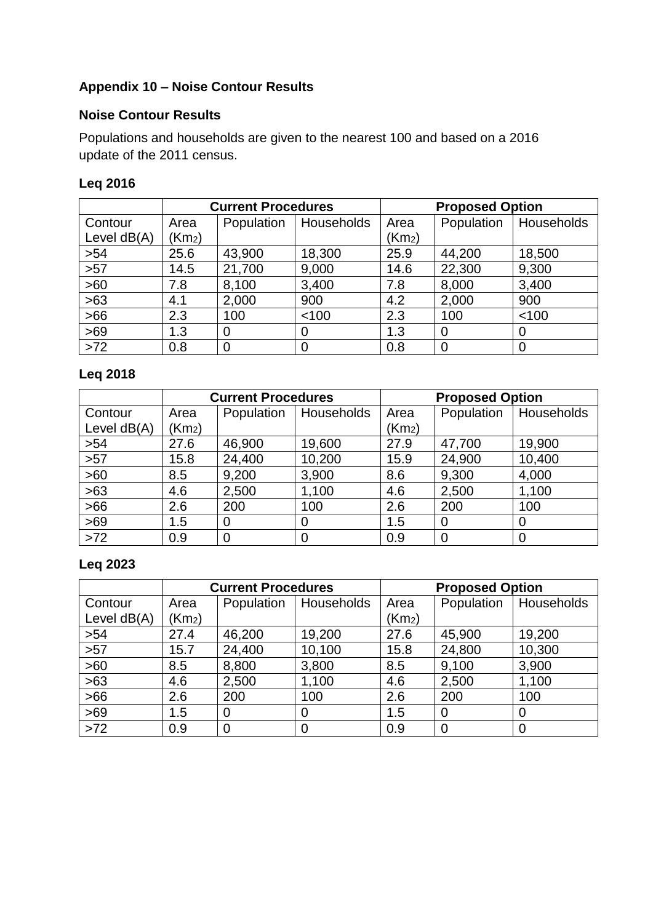# **Appendix 10 – Noise Contour Results**

#### **Noise Contour Results**

Populations and households are given to the nearest 100 and based on a 2016 update of the 2011 census.

#### **Leq 2016**

|               | <b>Current Procedures</b> |            |             | <b>Proposed Option</b> |             |            |
|---------------|---------------------------|------------|-------------|------------------------|-------------|------------|
| Contour       | Area                      | Population | Households  | Area                   | Population  | Households |
| Level $dB(A)$ | (Km <sub>2</sub> )        |            |             | (Km <sub>2</sub> )     |             |            |
| >54           | 25.6                      | 43,900     | 18,300      | 25.9                   | 44,200      | 18,500     |
| >57           | 14.5                      | 21,700     | 9,000       | 14.6                   | 22,300      | 9,300      |
| >60           | 7.8                       | 8,100      | 3,400       | 7.8                    | 8,000       | 3,400      |
| $>63$         | 4.1                       | 2,000      | 900         | 4.2                    | 2,000       | 900        |
| $>66$         | 2.3                       | 100        | < 100       | 2.3                    | 100         | < 100      |
| >69           | 1.3                       | $\Omega$   | 0           | 1.3                    | 0           |            |
| $>72$         | 0.8                       | 0          | $\mathbf 0$ | 0.8                    | $\mathbf 0$ |            |

# **Leq 2018**

|               | <b>Current Procedures</b> |                |            | <b>Proposed Option</b> |                |            |
|---------------|---------------------------|----------------|------------|------------------------|----------------|------------|
| Contour       | Area                      | Population     | Households | Area                   | Population     | Households |
| Level $dB(A)$ | (Km <sub>2</sub> )        |                |            | (Km <sub>2</sub> )     |                |            |
| >54           | 27.6                      | 46,900         | 19,600     | 27.9                   | 47,700         | 19,900     |
| $>57$         | 15.8                      | 24,400         | 10,200     | 15.9                   | 24,900         | 10,400     |
| >60           | 8.5                       | 9,200          | 3,900      | 8.6                    | 9,300          | 4,000      |
| $>63$         | 4.6                       | 2,500          | 1,100      | 4.6                    | 2,500          | 1,100      |
| >66           | 2.6                       | 200            | 100        | 2.6                    | 200            | 100        |
| $>69$         | 1.5                       | 0              | 0          | 1.5                    | 0              | 0          |
| $>72$         | 0.9                       | $\overline{0}$ | 0          | 0.9                    | $\overline{0}$ | 0          |

# **Leq 2023**

|               | <b>Current Procedures</b> |                |            | <b>Proposed Option</b> |                |                         |
|---------------|---------------------------|----------------|------------|------------------------|----------------|-------------------------|
| Contour       | Area                      | Population     | Households | Area                   |                | Population   Households |
| Level $dB(A)$ | (Km <sub>2</sub> )        |                |            | (Km <sub>2</sub> )     |                |                         |
| >54           | 27.4                      | 46,200         | 19,200     | 27.6                   | 45,900         | 19,200                  |
| $>57$         | 15.7                      | 24,400         | 10,100     | 15.8                   | 24,800         | 10,300                  |
| >60           | 8.5                       | 8,800          | 3,800      | 8.5                    | 9,100          | 3,900                   |
| $>63$         | 4.6                       | 2,500          | 1,100      | 4.6                    | 2,500          | 1,100                   |
| $>66$         | 2.6                       | 200            | 100        | 2.6                    | 200            | 100                     |
| $>69$         | 1.5                       | 0              | 0          | 1.5                    | $\overline{0}$ | 0                       |
| $>72$         | 0.9                       | $\overline{0}$ | 0          | 0.9                    | $\overline{0}$ | 0                       |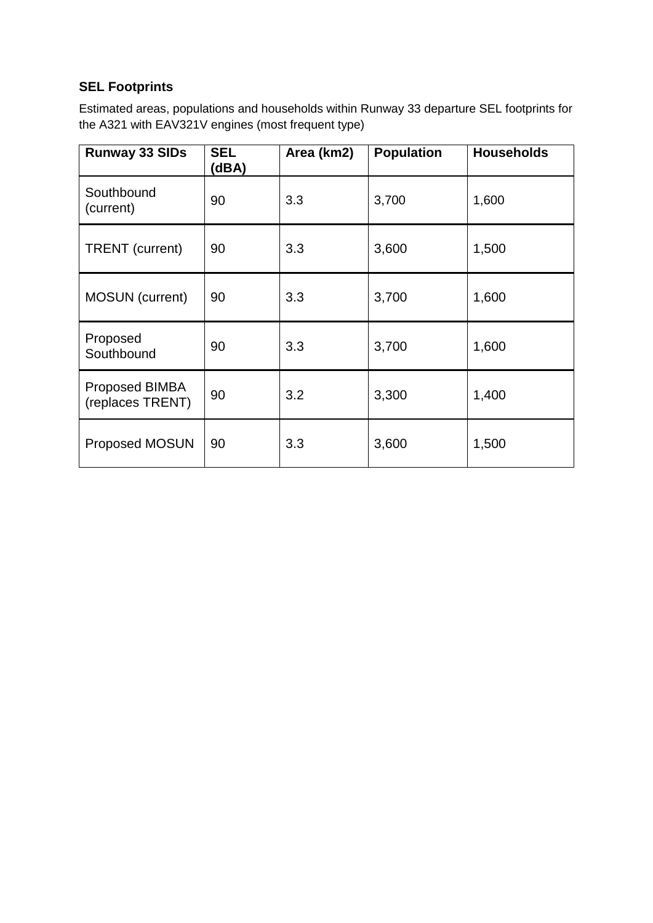# **SEL Footprints**

Estimated areas, populations and households within Runway 33 departure SEL footprints for the A321 with EAV321V engines (most frequent type)

| <b>Runway 33 SIDs</b>              | <b>SEL</b><br>(dBA) | Area (km2) | <b>Population</b> | <b>Households</b> |
|------------------------------------|---------------------|------------|-------------------|-------------------|
| Southbound<br>(current)            | 90                  | 3.3        | 3,700             | 1,600             |
| <b>TRENT</b> (current)             | 90<br>3.3<br>3,600  |            |                   | 1,500             |
| <b>MOSUN</b> (current)             | 90                  | 3.3        | 3,700             | 1,600             |
| Proposed<br>Southbound             | 90                  | 3.3        | 3,700             | 1,600             |
| Proposed BIMBA<br>(replaces TRENT) | 90                  | 3.2        | 3,300             | 1,400             |
| <b>Proposed MOSUN</b>              | 90                  | 3.3        | 3,600             | 1,500             |